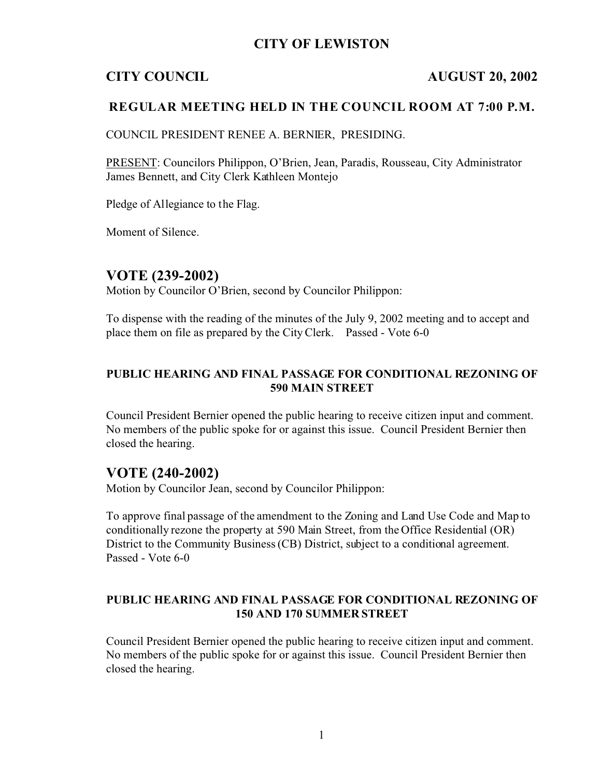## **CITY OF LEWISTON**

#### **CITY COUNCIL AUGUST 20, 2002**

#### **REGULAR MEETING HELD IN THE COUNCIL ROOM AT 7:00 P.M.**

COUNCIL PRESIDENT RENEE A. BERNIER, PRESIDING.

PRESENT: Councilors Philippon, O'Brien, Jean, Paradis, Rousseau, City Administrator James Bennett, and City Clerk Kathleen Montejo

Pledge of Allegiance to the Flag.

Moment of Silence.

#### **VOTE (239-2002)**

Motion by Councilor O'Brien, second by Councilor Philippon:

To dispense with the reading of the minutes of the July 9, 2002 meeting and to accept and place them on file as prepared by the City Clerk. Passed - Vote 6-0

### **PUBLIC HEARING AND FINAL PASSAGE FOR CONDITIONAL REZONING OF 590 MAIN STREET**

Council President Bernier opened the public hearing to receive citizen input and comment. No members of the public spoke for or against this issue. Council President Bernier then closed the hearing.

#### **VOTE (240-2002)**

Motion by Councilor Jean, second by Councilor Philippon:

To approve final passage of the amendment to the Zoning and Land Use Code and Map to conditionally rezone the property at 590 Main Street, from the Office Residential (OR) District to the Community Business (CB) District, subject to a conditional agreement. Passed - Vote 6-0

#### **PUBLIC HEARING AND FINAL PASSAGE FOR CONDITIONAL REZONING OF 150 AND 170 SUMMER STREET**

Council President Bernier opened the public hearing to receive citizen input and comment. No members of the public spoke for or against this issue. Council President Bernier then closed the hearing.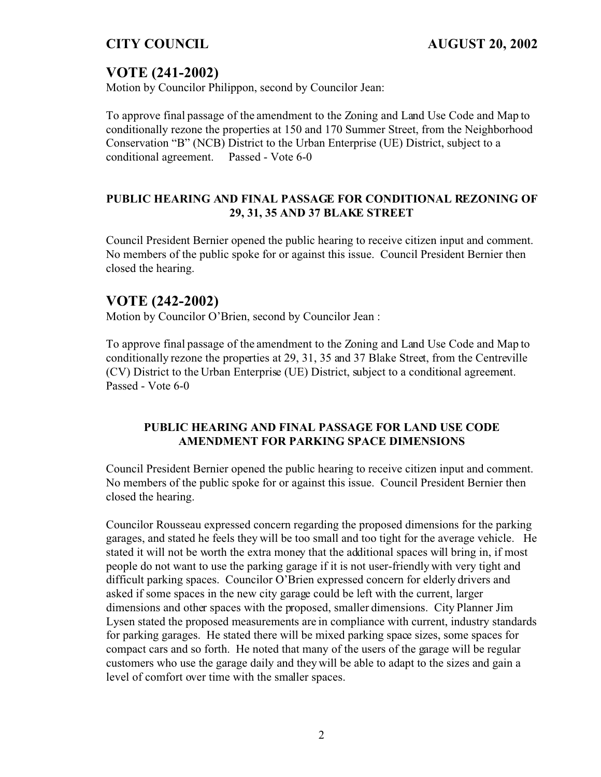# **VOTE (241-2002)**

Motion by Councilor Philippon, second by Councilor Jean:

To approve final passage of the amendment to the Zoning and Land Use Code and Map to conditionally rezone the properties at 150 and 170 Summer Street, from the Neighborhood Conservation "B" (NCB) District to the Urban Enterprise (UE) District, subject to a conditional agreement. Passed - Vote 6-0

## **PUBLIC HEARING AND FINAL PASSAGE FOR CONDITIONAL REZONING OF 29, 31, 35 AND 37 BLAKE STREET**

Council President Bernier opened the public hearing to receive citizen input and comment. No members of the public spoke for or against this issue. Council President Bernier then closed the hearing.

# **VOTE (242-2002)**

Motion by Councilor O'Brien, second by Councilor Jean :

To approve final passage of the amendment to the Zoning and Land Use Code and Map to conditionally rezone the properties at 29, 31, 35 and 37 Blake Street, from the Centreville (CV) District to the Urban Enterprise (UE) District, subject to a conditional agreement. Passed - Vote 6-0

### **PUBLIC HEARING AND FINAL PASSAGE FOR LAND USE CODE AMENDMENT FOR PARKING SPACE DIMENSIONS**

Council President Bernier opened the public hearing to receive citizen input and comment. No members of the public spoke for or against this issue. Council President Bernier then closed the hearing.

Councilor Rousseau expressed concern regarding the proposed dimensions for the parking garages, and stated he feels they will be too small and too tight for the average vehicle. He stated it will not be worth the extra money that the additional spaces will bring in, if most people do not want to use the parking garage if it is not user-friendly with very tight and difficult parking spaces. Councilor O'Brien expressed concern for elderly drivers and asked if some spaces in the new city garage could be left with the current, larger dimensions and other spaces with the proposed, smaller dimensions. City Planner Jim Lysen stated the proposed measurements are in compliance with current, industry standards for parking garages. He stated there will be mixed parking space sizes, some spaces for compact cars and so forth. He noted that many of the users of the garage will be regular customers who use the garage daily and they will be able to adapt to the sizes and gain a level of comfort over time with the smaller spaces.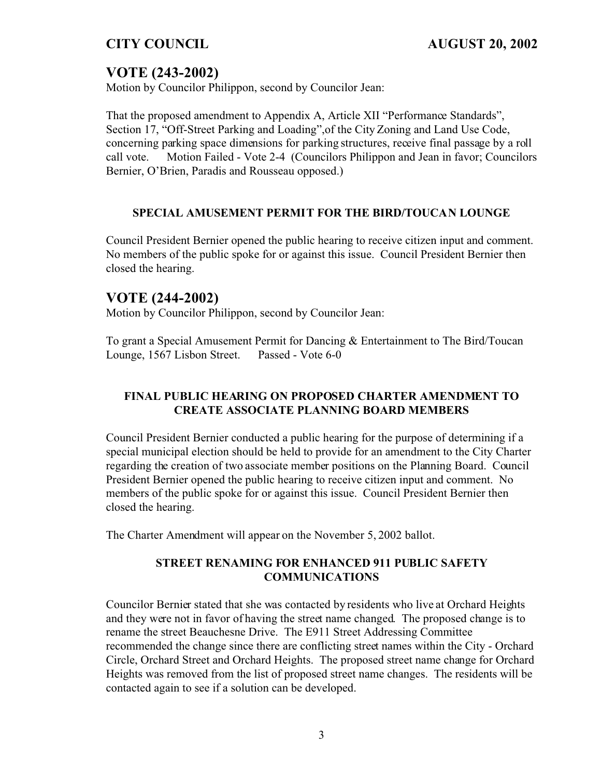# **VOTE (243-2002)**

Motion by Councilor Philippon, second by Councilor Jean:

That the proposed amendment to Appendix A, Article XII "Performance Standards", Section 17, "Off-Street Parking and Loading",of the City Zoning and Land Use Code, concerning parking space dimensions for parking structures, receive final passage by a roll call vote. Motion Failed - Vote 2-4 (Councilors Philippon and Jean in favor; Councilors Bernier, O'Brien, Paradis and Rousseau opposed.)

## **SPECIAL AMUSEMENT PERMIT FOR THE BIRD/TOUCAN LOUNGE**

Council President Bernier opened the public hearing to receive citizen input and comment. No members of the public spoke for or against this issue. Council President Bernier then closed the hearing.

# **VOTE (244-2002)**

Motion by Councilor Philippon, second by Councilor Jean:

To grant a Special Amusement Permit for Dancing & Entertainment to The Bird/Toucan Lounge, 1567 Lisbon Street. Passed - Vote 6-0

## **FINAL PUBLIC HEARING ON PROPOSED CHARTER AMENDMENT TO CREATE ASSOCIATE PLANNING BOARD MEMBERS**

Council President Bernier conducted a public hearing for the purpose of determining if a special municipal election should be held to provide for an amendment to the City Charter regarding the creation of two associate member positions on the Planning Board. Council President Bernier opened the public hearing to receive citizen input and comment. No members of the public spoke for or against this issue. Council President Bernier then closed the hearing.

The Charter Amendment will appear on the November 5, 2002 ballot.

## **STREET RENAMING FOR ENHANCED 911 PUBLIC SAFETY COMMUNICATIONS**

Councilor Bernier stated that she was contacted by residents who live at Orchard Heights and they were not in favor of having the street name changed. The proposed change is to rename the street Beauchesne Drive. The E911 Street Addressing Committee recommended the change since there are conflicting street names within the City - Orchard Circle, Orchard Street and Orchard Heights. The proposed street name change for Orchard Heights was removed from the list of proposed street name changes. The residents will be contacted again to see if a solution can be developed.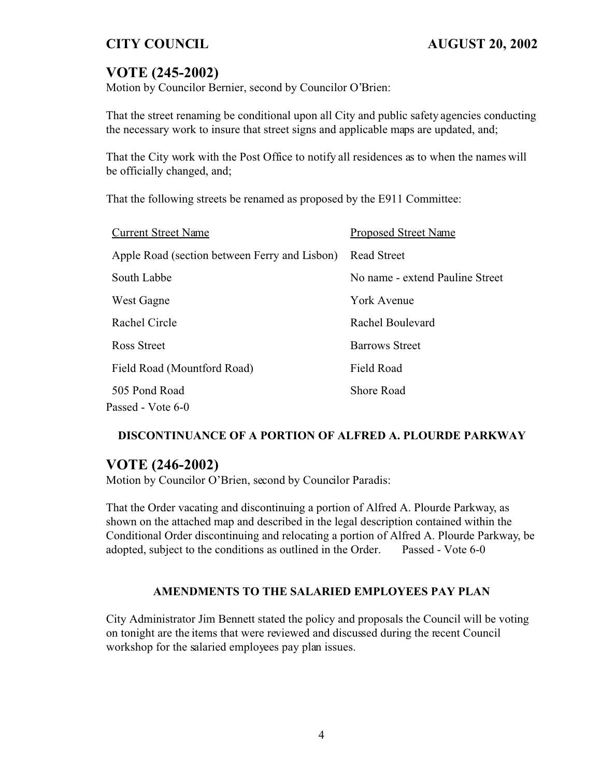# **VOTE (245-2002)**

Motion by Councilor Bernier, second by Councilor O'Brien:

That the street renaming be conditional upon all City and public safety agencies conducting the necessary work to insure that street signs and applicable maps are updated, and;

That the City work with the Post Office to notify all residences as to when the names will be officially changed, and;

That the following streets be renamed as proposed by the E911 Committee:

| <b>Current Street Name</b>                    | <b>Proposed Street Name</b>     |
|-----------------------------------------------|---------------------------------|
| Apple Road (section between Ferry and Lisbon) | <b>Read Street</b>              |
| South Labbe                                   | No name - extend Pauline Street |
| West Gagne                                    | <b>York Avenue</b>              |
| Rachel Circle                                 | Rachel Boulevard                |
| Ross Street                                   | <b>Barrows Street</b>           |
| Field Road (Mountford Road)                   | <b>Field Road</b>               |
| 505 Pond Road                                 | <b>Shore Road</b>               |
| Passed - Vote 6-0                             |                                 |

### **DISCONTINUANCE OF A PORTION OF ALFRED A. PLOURDE PARKWAY**

## **VOTE (246-2002)**

Motion by Councilor O'Brien, second by Councilor Paradis:

That the Order vacating and discontinuing a portion of Alfred A. Plourde Parkway, as shown on the attached map and described in the legal description contained within the Conditional Order discontinuing and relocating a portion of Alfred A. Plourde Parkway, be adopted, subject to the conditions as outlined in the Order. Passed - Vote 6-0

### **AMENDMENTS TO THE SALARIED EMPLOYEES PAY PLAN**

City Administrator Jim Bennett stated the policy and proposals the Council will be voting on tonight are the items that were reviewed and discussed during the recent Council workshop for the salaried employees pay plan issues.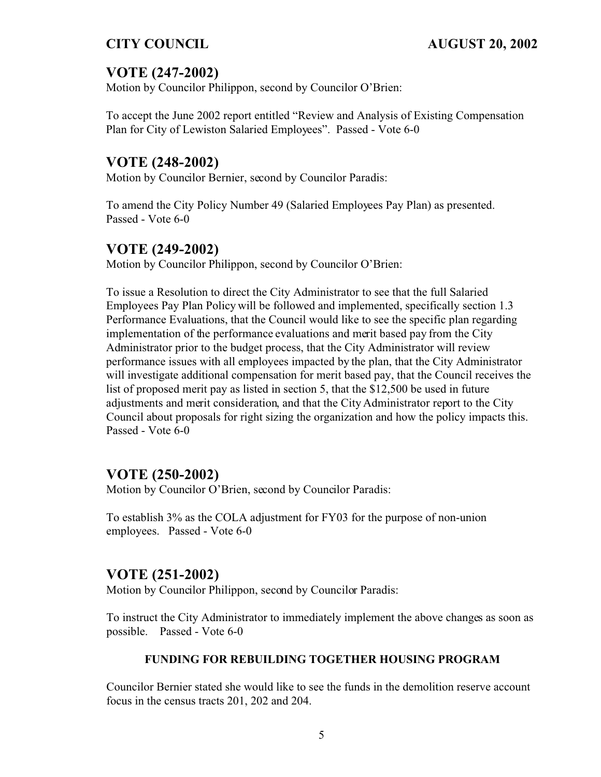# **VOTE (247-2002)**

Motion by Councilor Philippon, second by Councilor O'Brien:

To accept the June 2002 report entitled "Review and Analysis of Existing Compensation Plan for City of Lewiston Salaried Employees". Passed - Vote 6-0

# **VOTE (248-2002)**

Motion by Councilor Bernier, second by Councilor Paradis:

To amend the City Policy Number 49 (Salaried Employees Pay Plan) as presented. Passed - Vote 6-0

## **VOTE (249-2002)**

Motion by Councilor Philippon, second by Councilor O'Brien:

To issue a Resolution to direct the City Administrator to see that the full Salaried Employees Pay Plan Policy will be followed and implemented, specifically section 1.3 Performance Evaluations, that the Council would like to see the specific plan regarding implementation of the performance evaluations and merit based pay from the City Administrator prior to the budget process, that the City Administrator will review performance issues with all employees impacted by the plan, that the City Administrator will investigate additional compensation for merit based pay, that the Council receives the list of proposed merit pay as listed in section 5, that the \$12,500 be used in future adjustments and merit consideration, and that the City Administrator report to the City Council about proposals for right sizing the organization and how the policy impacts this. Passed - Vote 6-0

## **VOTE (250-2002)**

Motion by Councilor O'Brien, second by Councilor Paradis:

To establish 3% as the COLA adjustment for FY03 for the purpose of non-union employees. Passed - Vote 6-0

## **VOTE (251-2002)**

Motion by Councilor Philippon, second by Councilor Paradis:

To instruct the City Administrator to immediately implement the above changes as soon as possible. Passed - Vote 6-0

## **FUNDING FOR REBUILDING TOGETHER HOUSING PROGRAM**

Councilor Bernier stated she would like to see the funds in the demolition reserve account focus in the census tracts 201, 202 and 204.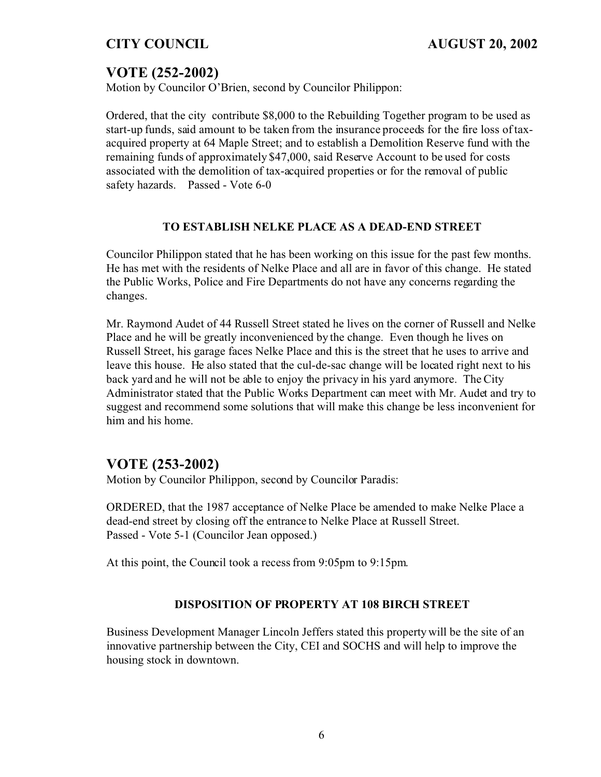# **VOTE (252-2002)**

Motion by Councilor O'Brien, second by Councilor Philippon:

Ordered, that the city contribute \$8,000 to the Rebuilding Together program to be used as start-up funds, said amount to be taken from the insurance proceeds for the fire loss of taxacquired property at 64 Maple Street; and to establish a Demolition Reserve fund with the remaining funds of approximately \$47,000, said Reserve Account to be used for costs associated with the demolition of tax-acquired properties or for the removal of public safety hazards. Passed - Vote 6-0

### **TO ESTABLISH NELKE PLACE AS A DEAD-END STREET**

Councilor Philippon stated that he has been working on this issue for the past few months. He has met with the residents of Nelke Place and all are in favor of this change. He stated the Public Works, Police and Fire Departments do not have any concerns regarding the changes.

Mr. Raymond Audet of 44 Russell Street stated he lives on the corner of Russell and Nelke Place and he will be greatly inconvenienced by the change. Even though he lives on Russell Street, his garage faces Nelke Place and this is the street that he uses to arrive and leave this house. He also stated that the cul-de-sac change will be located right next to his back yard and he will not be able to enjoy the privacy in his yard anymore. The City Administrator stated that the Public Works Department can meet with Mr. Audet and try to suggest and recommend some solutions that will make this change be less inconvenient for him and his home.

## **VOTE (253-2002)**

Motion by Councilor Philippon, second by Councilor Paradis:

ORDERED, that the 1987 acceptance of Nelke Place be amended to make Nelke Place a dead-end street by closing off the entrance to Nelke Place at Russell Street. Passed - Vote 5-1 (Councilor Jean opposed.)

At this point, the Council took a recess from 9:05pm to 9:15pm.

### **DISPOSITION OF PROPERTY AT 108 BIRCH STREET**

Business Development Manager Lincoln Jeffers stated this property will be the site of an innovative partnership between the City, CEI and SOCHS and will help to improve the housing stock in downtown.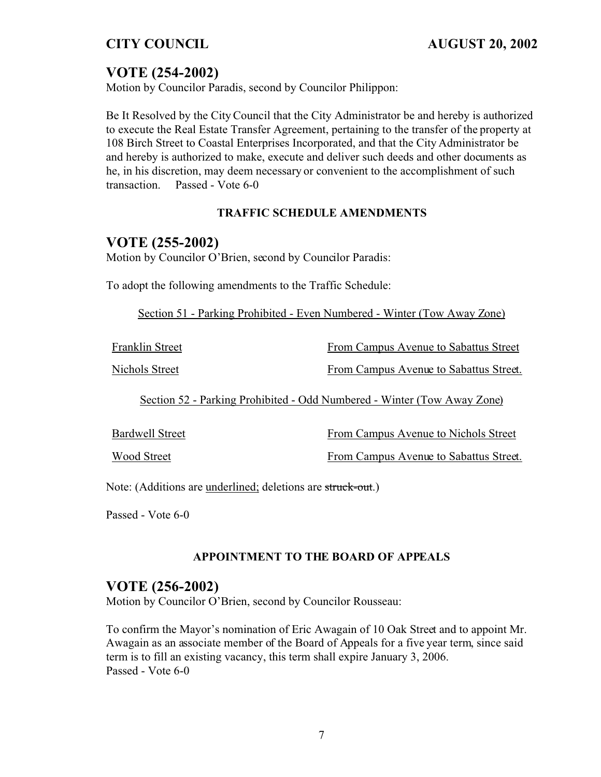# **VOTE (254-2002)**

Motion by Councilor Paradis, second by Councilor Philippon:

Be It Resolved by the City Council that the City Administrator be and hereby is authorized to execute the Real Estate Transfer Agreement, pertaining to the transfer of the property at 108 Birch Street to Coastal Enterprises Incorporated, and that the City Administrator be and hereby is authorized to make, execute and deliver such deeds and other documents as he, in his discretion, may deem necessary or convenient to the accomplishment of such transaction. Passed - Vote 6-0

## **TRAFFIC SCHEDULE AMENDMENTS**

## **VOTE (255-2002)**

Motion by Councilor O'Brien, second by Councilor Paradis:

To adopt the following amendments to the Traffic Schedule:

Section 51 - Parking Prohibited - Even Numbered - Winter (Tow Away Zone)

| Franklin Street                                                         | From Campus Avenue to Sabattus Street  |
|-------------------------------------------------------------------------|----------------------------------------|
| Nichols Street                                                          | From Campus Avenue to Sabattus Street. |
| Section 52 - Parking Prohibited - Odd Numbered - Winter (Tow Away Zone) |                                        |
| <b>Bardwell Street</b>                                                  | From Campus Avenue to Nichols Street   |
| <b>Wood Street</b>                                                      | From Campus Avenue to Sabattus Street. |

Note: (Additions are underlined; deletions are struck-out.)

Passed - Vote 6-0

### **APPOINTMENT TO THE BOARD OF APPEALS**

## **VOTE (256-2002)**

Motion by Councilor O'Brien, second by Councilor Rousseau:

To confirm the Mayor's nomination of Eric Awagain of 10 Oak Street and to appoint Mr. Awagain as an associate member of the Board of Appeals for a five year term, since said term is to fill an existing vacancy, this term shall expire January 3, 2006. Passed - Vote 6-0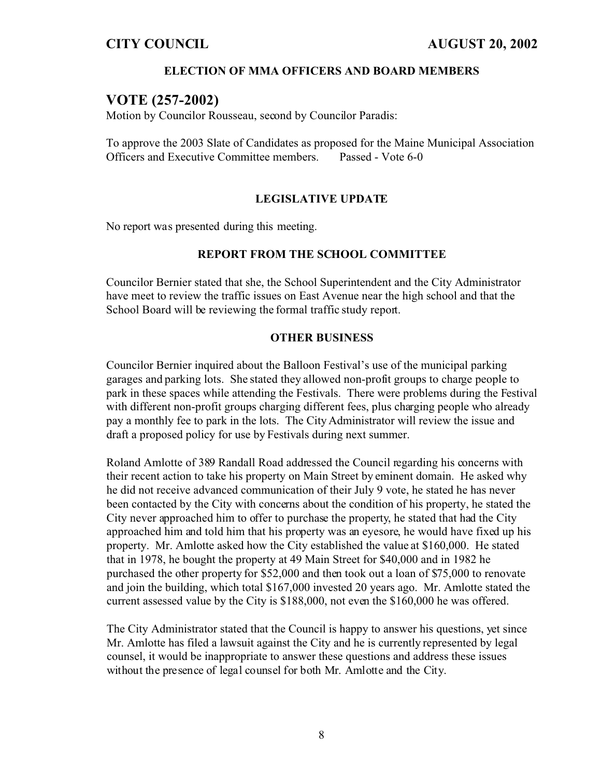#### **ELECTION OF MMA OFFICERS AND BOARD MEMBERS**

## **VOTE (257-2002)**

Motion by Councilor Rousseau, second by Councilor Paradis:

To approve the 2003 Slate of Candidates as proposed for the Maine Municipal Association Officers and Executive Committee members. Passed - Vote 6-0

#### **LEGISLATIVE UPDATE**

No report was presented during this meeting.

#### **REPORT FROM THE SCHOOL COMMITTEE**

Councilor Bernier stated that she, the School Superintendent and the City Administrator have meet to review the traffic issues on East Avenue near the high school and that the School Board will be reviewing the formal traffic study report.

#### **OTHER BUSINESS**

Councilor Bernier inquired about the Balloon Festival's use of the municipal parking garages and parking lots. She stated they allowed non-profit groups to charge people to park in these spaces while attending the Festivals. There were problems during the Festival with different non-profit groups charging different fees, plus charging people who already pay a monthly fee to park in the lots. The City Administrator will review the issue and draft a proposed policy for use by Festivals during next summer.

Roland Amlotte of 389 Randall Road addressed the Council regarding his concerns with their recent action to take his property on Main Street by eminent domain. He asked why he did not receive advanced communication of their July 9 vote, he stated he has never been contacted by the City with concerns about the condition of his property, he stated the City never approached him to offer to purchase the property, he stated that had the City approached him and told him that his property was an eyesore, he would have fixed up his property. Mr. Amlotte asked how the City established the value at \$160,000. He stated that in 1978, he bought the property at 49 Main Street for \$40,000 and in 1982 he purchased the other property for \$52,000 and then took out a loan of \$75,000 to renovate and join the building, which total \$167,000 invested 20 years ago. Mr. Amlotte stated the current assessed value by the City is \$188,000, not even the \$160,000 he was offered.

The City Administrator stated that the Council is happy to answer his questions, yet since Mr. Amlotte has filed a lawsuit against the City and he is currently represented by legal counsel, it would be inappropriate to answer these questions and address these issues without the presence of legal counsel for both Mr. Amlotte and the City.